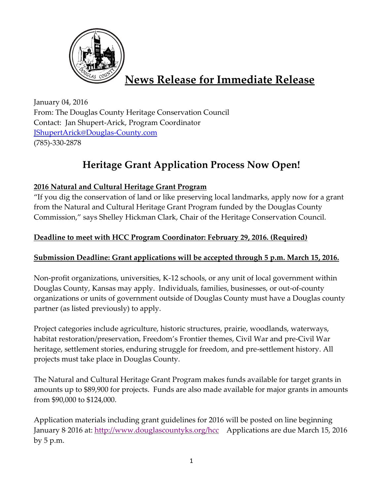

# **News Release for Immediate Release**

January 04, 2016 From: The Douglas County Heritage Conservation Council Contact: Jan Shupert-Arick, Program Coordinator [JShupertArick@Douglas-County.com](mailto:JShupertArick@Douglas-County.com) (785)-330-2878

## **Heritage Grant Application Process Now Open!**

### **2016 Natural and Cultural Heritage Grant Program**

"If you dig the conservation of land or like preserving local landmarks, apply now for a grant from the Natural and Cultural Heritage Grant Program funded by the Douglas County Commission," says Shelley Hickman Clark, Chair of the Heritage Conservation Council.

### **Deadline to meet with HCC Program Coordinator: February 29, 2016. (Required)**

### **Submission Deadline: Grant applications will be accepted through 5 p.m. March 15, 2016.**

Non-profit organizations, universities, K-12 schools, or any unit of local government within Douglas County, Kansas may apply. Individuals, families, businesses, or out-of-county organizations or units of government outside of Douglas County must have a Douglas county partner (as listed previously) to apply.

Project categories include agriculture, historic structures, prairie, woodlands, waterways, habitat restoration/preservation, Freedom's Frontier themes, Civil War and pre-Civil War heritage, settlement stories, enduring struggle for freedom, and pre-settlement history. All projects must take place in Douglas County.

The Natural and Cultural Heritage Grant Program makes funds available for target grants in amounts up to \$89,900 for projects. Funds are also made available for major grants in amounts from \$90,000 to \$124,000.

Application materials including grant guidelines for 2016 will be posted on line beginning January 8<sup>,</sup> 2016 at: <u>http://www.douglascountyks.org/hcc</u> Applications are due March 15, 2016 by 5 p.m.